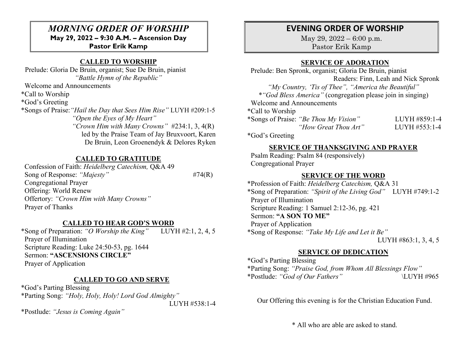## *MORNING ORDER OF WORSHIP* **May 29, 2022 – 9:30 A.M. – Ascension Day Pastor Erik Kamp**

## **CALLED TO WORSHIP**

 Prelude: Gloria De Bruin, organist; Sue De Bruin, pianist *"Battle Hymn of the Republic"*

Welcome and Announcements

\*Call to Worship

\*God's Greeting

\*Songs of Praise:*"Hail the Day that Sees Him Rise"* LUYH #209:1-5 *"Open the Eyes of My Heart" "Crown Him with Many Crowns"* #234:1, 3, 4(R) led by the Praise Team of Jay Bruxvoort, Karen De Bruin, Leon Groenendyk & Delores Ryken

### **CALLED TO GRATITUDE**

 Confession of Faith: *Heidelberg Catechism,* Q&A 49 Song of Response: *"Majesty"* #74(R) Congregational Prayer Offering: World Renew Offertory: *"Crown Him with Many Crowns"* Prayer of Thanks

#### **CALLED TO HEAR GOD'S WORD**

\*Song of Preparation: *"O Worship the King"* LUYH #2:1, 2, 4, 5 Prayer of Illumination Scripture Reading: Luke 24:50-53, pg. 1644 Sermon: **"ASCENSIONS CIRCLE"** Prayer of Application

#### **CALLED TO GO AND SERVE**

\*God's Parting Blessing \*Parting Song: *"Holy, Holy, Holy! Lord God Almighty"*  LUYH #538:1-4

\*Postlude: *"Jesus is Coming Again"*

# **EVENING ORDER OF WORSHIP**

May 29, 2022 – 6:00 p.m. Pastor Erik Kamp

#### **SERVICE OF ADORATION**

 Prelude: Ben Spronk, organist; Gloria De Bruin, pianist Readers: Finn, Leah and Nick Spronk *"My Country, 'Tis of Thee", "America the Beautiful" \*"God Bless America"* (congregation please join in singing) Welcome and Announcements \*Call to Worship \*Songs of Praise: *"Be Thou My Vision"* LUYH #859:1-4  *"How Great Thou Art"* LUYH #553:1-4 \*God's Greeting

#### **SERVICE OF THANKSGIVING AND PRAYER**

 Psalm Reading: Psalm 84 (responsively) Congregational Prayer

#### **SERVICE OF THE WORD**

\*Profession of Faith: *Heidelberg Catechism,* Q&A 31 \*Song of Preparation: *"Spirit of the Living God"* LUYH #749:1-2 Prayer of Illumination Scripture Reading: 1 Samuel 2:12-36, pg. 421 Sermon: **"A SON TO ME"** Prayer of Application \*Song of Response: *"Take My Life and Let it Be"* LUYH #863:1, 3, 4, 5

### **SERVICE OF DEDICATION**

\*God's Parting Blessing \*Parting Song: *"Praise God, from Whom All Blessings Flow"*  \*Postlude: *"God of Our Fathers"* \LUYH #965

Our Offering this evening is for the Christian Education Fund.

\* All who are able are asked to stand.